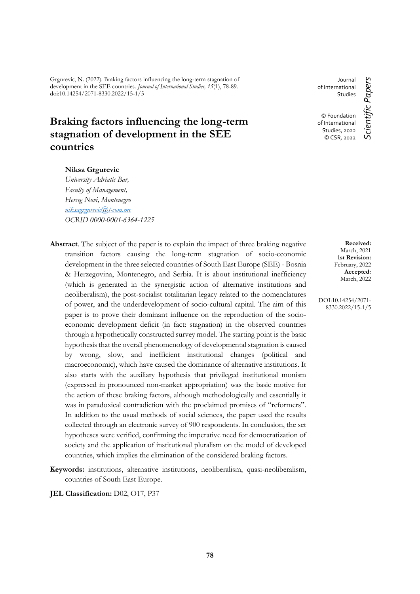Grgurevic, N. (2022). Braking factors influencing the long-term stagnation of development in the SEE countries. *Journal of International Studies, 15*(1), 78-89. doi:10.14254/2071-8330.2022/15-1/5

# **Braking factors influencing the long-term stagnation of development in the SEE countries**

### **Niksa Grgurevic**

*University Adriatic Bar, Faculty of Management, Herceg Novi, Montenegro [niksagrgurevic@t-com.me](mailto:niksagrgurevic@t-com.me) OCRID 0000-0001-6364-1225*

- Abstract. The subject of the paper is to explain the impact of three braking negative transition factors causing the long-term stagnation of socio-economic development in the three selected countries of South East Europe (SEE) - Bosnia & Herzegovina, Montenegro, and Serbia. It is about institutional inefficiency (which is generated in the synergistic action of alternative institutions and neoliberalism), the post-socialist totalitarian legacy related to the nomenclatures of power, and the underdevelopment of socio-cultural capital. The aim of this paper is to prove their dominant influence on the reproduction of the socioeconomic development deficit (in fact: stagnation) in the observed countries through a hypothetically constructed survey model. The starting point is the basic hypothesis that the overall phenomenology of developmental stagnation is caused by wrong, slow, and inefficient institutional changes (political and macroeconomic), which have caused the dominance of alternative institutions. It also starts with the auxiliary hypothesis that privileged institutional monism (expressed in pronounced non-market appropriation) was the basic motive for the action of these braking factors, although methodologically and essentially it was in paradoxical contradiction with the proclaimed promises of "reformers". In addition to the usual methods of social sciences, the paper used the results collected through an electronic survey of 900 respondents. In conclusion, the set hypotheses were verified, confirming the imperative need for democratization of society and the application of institutional pluralism on the model of developed countries, which implies the elimination of the considered braking factors.
- **Keywords:** institutions, alternative institutions, neoliberalism, quasi-neoliberalism, countries of South East Europe.

**JEL Classification:** D02, O17, P37

Journal of International **Studies** © Foundation of International Studies, 2022

© CSR, 2022

Scientific Papers *Scientific Papers*

**Received:** March, 2021 **1st Revision:** February, 2022 **Accepted:** March, 2022

DOI:10.14254/2071- 8330.2022/15-1/5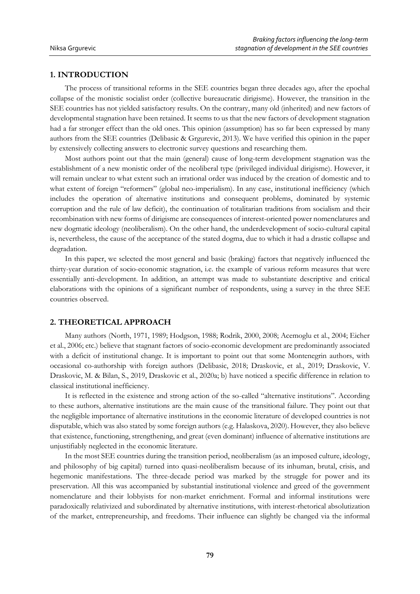### **1. INTRODUCTION**

The process of transitional reforms in the SEE countries began three decades ago, after the epochal collapse of the monistic socialist order (collective bureaucratic dirigisme). However, the transition in the SEE countries has not yielded satisfactory results. On the contrary, many old (inherited) and new factors of developmental stagnation have been retained. It seems to us that the new factors of development stagnation had a far stronger effect than the old ones. This opinion (assumption) has so far been expressed by many authors from the SEE countries (Delibasic & Grgurevic, 2013). We have verified this opinion in the paper by extensively collecting answers to electronic survey questions and researching them.

Most authors point out that the main (general) cause of long-term development stagnation was the establishment of a new monistic order of the neoliberal type (privileged individual dirigisme). However, it will remain unclear to what extent such an irrational order was induced by the creation of domestic and to what extent of foreign "reformers" (global neo-imperialism). In any case, institutional inefficiency (which includes the operation of alternative institutions and consequent problems, dominated by systemic corruption and the rule of law deficit), the continuation of totalitarian traditions from socialism and their recombination with new forms of dirigisme are consequences of interest-oriented power nomenclatures and new dogmatic ideology (neoliberalism). On the other hand, the underdevelopment of socio-cultural capital is, nevertheless, the cause of the acceptance of the stated dogma, due to which it had a drastic collapse and degradation.

In this paper, we selected the most general and basic (braking) factors that negatively influenced the thirty-year duration of socio-economic stagnation, i.e. the example of various reform measures that were essentially anti-development. In addition, an attempt was made to substantiate descriptive and critical elaborations with the opinions of a significant number of respondents, using a survey in the three SEE countries observed.

### **2. THEORETICAL APPROACH**

Many authors (North, 1971, 1989; Hodgson, 1988; Rodrik, 2000, 2008; Acemoglu et al., 2004; Eicher et al., 2006; etc.) believe that stagnant factors of socio-economic development are predominantly associated with a deficit of institutional change. It is important to point out that some Montenegrin authors, with occasional co-authorship with foreign authors (Delibasic, 2018; Draskovic, et al., 2019; Draskovic, V. Draskovic, M. & Bilan, S., 2019, Draskovic et al., 2020a; b) have noticed a specific difference in relation to classical institutional inefficiency.

It is reflected in the existence and strong action of the so-called "alternative institutions". According to these authors, alternative institutions are the main cause of the transitional failure. They point out that the negligible importance of alternative institutions in the economic literature of developed countries is not disputable, which was also stated by some foreign authors (e.g. Halaskova, 2020). However, they also believe that existence, functioning, strengthening, and great (even dominant) influence of alternative institutions are unjustifiably neglected in the economic literature.

In the most SEE countries during the transition period, neoliberalism (as an imposed culture, ideology, and philosophy of big capital) turned into quasi-neoliberalism because of its inhuman, brutal, crisis, and hegemonic manifestations. The three-decade period was marked by the struggle for power and its preservation. All this was accompanied by substantial institutional violence and greed of the government nomenclature and their lobbyists for non-market enrichment. Formal and informal institutions were paradoxically relativized and subordinated by alternative institutions, with interest-rhetorical absolutization of the market, entrepreneurship, and freedoms. Their influence can slightly be changed via the informal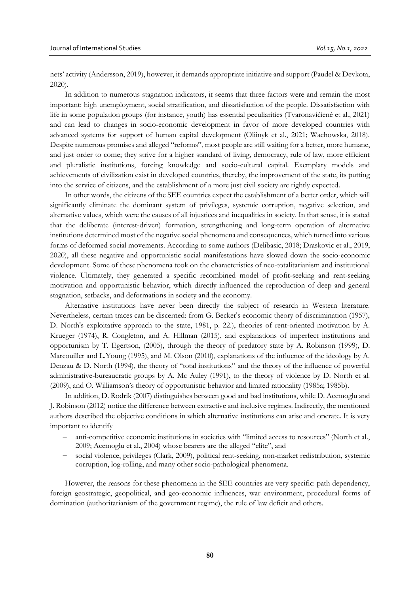nets' activity (Andersson, 2019), however, it demands appropriate initiative and support (Paudel & Devkota, 2020).

In addition to numerous stagnation indicators, it seems that three factors were and remain the most important: high unemployment, social stratification, and dissatisfaction of the people. Dissatisfaction with life in some population groups (for instance, youth) has essential peculiarities (Tvaronavičienė et al., 2021) and can lead to changes in socio-economic development in favor of more developed countries with advanced systems for support of human capital development (Oliinyk et al., 2021; Wachowska, 2018). Despite numerous promises and alleged "reforms", most people are still waiting for a better, more humane, and just order to come; they strive for a higher standard of living, democracy, rule of law, more efficient and pluralistic institutions, forcing knowledge and socio-cultural capital. Exemplary models and achievements of civilization exist in developed countries, thereby, the improvement of the state, its putting into the service of citizens, and the establishment of a more just civil society are rightly expected.

In other words, the citizens of the SEE countries expect the establishment of a better order, which will significantly eliminate the dominant system of privileges, systemic corruption, negative selection, and alternative values, which were the causes of all injustices and inequalities in society. In that sense, it is stated that the deliberate (interest-driven) formation, strengthening and long-term operation of alternative institutions determined most of the negative social phenomena and consequences, which turned into various forms of deformed social movements. According to some authors (Delibasic, 2018; Draskovic et al., 2019, 2020), all these negative and opportunistic social manifestations have slowed down the socio-economic development. Some of these phenomena took on the characteristics of neo-totalitarianism and institutional violence. Ultimately, they generated a specific recombined model of profit-seeking and rent-seeking motivation and opportunistic behavior, which directly influenced the reproduction of deep and general stagnation, setbacks, and deformations in society and the economy.

Alternative institutions have never been directly the subject of research in Western literature. Nevertheless, certain traces can be discerned: from G. Becker's economic theory of discrimination (1957), D. North's exploitative approach to the state, 1981, p. 22.), theories of rent-oriented motivation by A. Krueger (1974), R. Congleton, and A. Hillman (2015), and explanations of imperfect institutions and opportunism by T. Egertson, (2005), through the theory of predatory state by A. Robinson (1999), D. Marcouiller and L.Young (1995), and M. Olson (2010), explanations of the influence of the ideology by A. Denzau & D. North (1994), the theory of "total institutions" and the theory of the influence of powerful administrative-bureaucratic groups by A. Mc Auley (1991), to the theory of violence by D. North et al. (2009), and O. Williamson's theory of opportunistic behavior and limited rationality (1985a; 1985b).

In addition, D. Rodrik (2007) distinguishes between good and bad institutions, while D. Acemoglu and J. Robinson (2012) notice the difference between extractive and inclusive regimes. Indirectly, the mentioned authors described the objective conditions in which alternative institutions can arise and operate. It is very important to identify

- anti-competitive economic institutions in societies with "limited access to resources" (North et al., 2009; Acemoglu et al., 2004) whose bearers are the alleged "elite", and
- social violence, privileges (Clark, 2009), political rent-seeking, non-market redistribution, systemic corruption, log-rolling, and many other socio-pathological phenomena.

However, the reasons for these phenomena in the SEE countries are very specific: path dependency, foreign geostrategic, geopolitical, and geo-economic influences, war environment, procedural forms of domination (authoritarianism of the government regime), the rule of law deficit and others.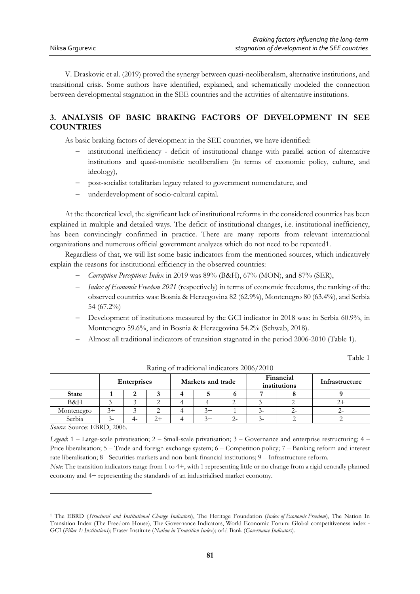V. Draskovic et al. (2019) proved the synergy between quasi-neoliberalism, alternative institutions, and transitional crisis. Some authors have identified, explained, and schematically modeled the connection between developmental stagnation in the SEE countries and the activities of alternative institutions.

## **3. ANALYSIS OF BASIC BRAKING FACTORS OF DEVELOPMENT IN SEE COUNTRIES**

As basic braking factors of development in the SEE countries, we have identified:

- institutional inefficiency deficit of institutional change with parallel action of alternative institutions and quasi-monistic neoliberalism (in terms of economic policy, culture, and ideology),
- post-socialist totalitarian legacy related to government nomenclature, and
- underdevelopment of socio-cultural capital.

At the theoretical level, the significant lack of institutional reforms in the considered countries has been explained in multiple and detailed ways. The deficit of institutional changes, i.e. institutional inefficiency, has been convincingly confirmed in practice. There are many reports from relevant international organizations and numerous official government analyzes which do not need to be repeated1.

Regardless of that, we will list some basic indicators from the mentioned sources, which indicatively explain the reasons for institutional efficiency in the observed countries:

- *Corruption Perceptions Index* in 2019 was 89% (B&H), 67% (MON), and 87% (SER),
- *Index of Economic Freedom 2021* (respectively) in terms of economic freedoms, the ranking of the observed countries was: Bosnia & Herzegovina 82 (62.9%), Montenegro 80 (63.4%), and Serbia 54 (67.2%)
- Development of institutions measured by the GCI indicator in 2018 was: in Serbia 60.9%, in Montenegro 59.6%, and in Bosnia & Herzegovina 54.2% (Schwab, 2018).
- Almost all traditional indicators of transition stagnated in the period 2006-2010 (Table 1).

Table 1

|              | <b>Enterprises</b> |  | Markets and trade |  |  | Financial<br>institutions |  | Infrastructure |  |
|--------------|--------------------|--|-------------------|--|--|---------------------------|--|----------------|--|
| <b>State</b> |                    |  |                   |  |  |                           |  |                |  |
| B&H          |                    |  |                   |  |  | Z-                        |  |                |  |
| Montenegro   | $3+$               |  |                   |  |  |                           |  |                |  |
| Serbia       |                    |  | $2+$              |  |  | $\lambda$ . $-$           |  |                |  |

Rating of traditional indicators 2006/2010

*Source*: Source: EBRD, 2006.

 $\overline{a}$ 

*Legend*: 1 – Large-scale privatisation; 2 – Small-scale privatisation; 3 – Governance and enterprise restructuring; 4 – Price liberalisation; 5 – Trade and foreign exchange system; 6 – Competition policy; 7 – Banking reform and interest rate liberalisation; 8 - Securities markets and non-bank financial institutions; 9 – Infrastructure reform.

*Note*: The transition indicators range from 1 to 4+, with 1 representing little or no change from a rigid centrally planned economy and 4+ representing the standards of an industrialised market economy.

<sup>1</sup> The EBRD (*Structural and Institutional Change Indicators*), The Heritage Foundation (*Index of Economic Freedom*), The Nation In Transition Index (The Freedom House), The Governance Indicators, World Economic Forum: Global competitiveness index - GCI (*Pillar 1: Institutions*); Fraser Institute (*Nation in Transition Index*); orld Bank (*Governance Indicators*).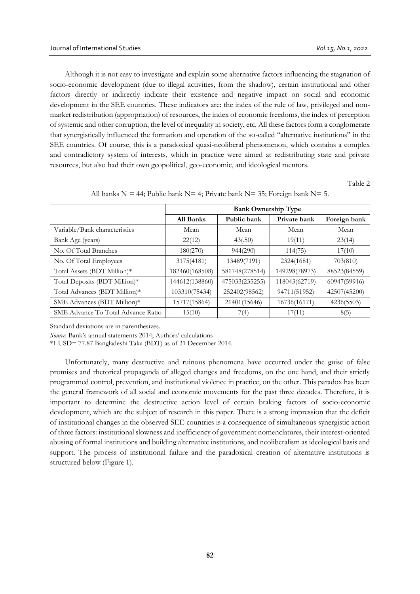Although it is not easy to investigate and explain some alternative factors influencing the stagnation of socio-economic development (due to illegal activities, from the shadow), certain institutional and other factors directly or indirectly indicate their existence and negative impact on social and economic development in the SEE countries. These indicators are: the index of the rule of law, privileged and nonmarket redistribution (appropriation) of resources, the index of economic freedoms, the index of perception of systemic and other corruption, the level of inequality in society, etc. All these factors form a conglomerate that synergistically influenced the formation and operation of the so-called "alternative institutions" in the SEE countries. Of course, this is a paradoxical quasi-neoliberal phenomenon, which contains a complex and contradictory system of interests, which in practice were aimed at redistributing state and private resources, but also had their own geopolitical, geo-economic, and ideological mentors.

Table 2

|                                    | <b>Bank Ownership Type</b> |                |               |              |  |  |
|------------------------------------|----------------------------|----------------|---------------|--------------|--|--|
|                                    | All Banks                  | Public bank    | Private bank  | Foreign bank |  |  |
| Variable/Bank characteristics      | Mean                       | Mean           | Mean          | Mean         |  |  |
| Bank Age (years)                   | 22(12)                     | 43(.50)        | 19(11)        | 23(14)       |  |  |
| No. Of Total Branches              | 180(270)                   | 944(290)       | 114(75)       | 17(10)       |  |  |
| No. Of Total Employees             | 3175(4181)                 | 13489(7191)    | 2324(1681)    | 703(810)     |  |  |
| Total Assets (BDT Million)*        | 182460(168508)             | 581748(278514) | 149298(78973) | 88523(84559) |  |  |
| Total Deposits (BDT Million)*      | 144612(138860)             | 475033(235255) | 118043(62719) | 60947(59916) |  |  |
| Total Advances (BDT Million)*      | 103310(75434)              | 252402(98562)  | 94711(51952)  | 42507(45200) |  |  |
| SME Advances (BDT Million)*        | 15717(15864)               | 21401(15646)   | 16736(16171)  | 4236(5503)   |  |  |
| SME Advance To Total Advance Ratio | 15(10)                     | 7(4)           | 17(11)        | 8(5)         |  |  |

All banks  $N = 44$ ; Public bank  $N = 4$ ; Private bank  $N = 35$ ; Foreign bank  $N = 5$ .

Standard deviations are in parenthesizes.

*Source*: Bank's annual statements 2014; Authors' calculations

\*1 USD= 77.87 Bangladeshi Taka (BDT) as of 31 December 2014.

Unfortunately, many destructive and ruinous phenomena have occurred under the guise of false promises and rhetorical propaganda of alleged changes and freedoms, on the one hand, and their strictly programmed control, prevention, and institutional violence in practice, on the other. This paradox has been the general framework of all social and economic movements for the past three decades. Therefore, it is important to determine the destructive action level of certain braking factors of socio-economic development, which are the subject of research in this paper. There is a strong impression that the deficit of institutional changes in the observed SEE countries is a consequence of simultaneous synergistic action of three factors: institutional slowness and inefficiency of government nomenclatures, their interest-oriented abusing of formal institutions and building alternative institutions, and neoliberalism as ideological basis and support. The process of institutional failure and the paradoxical creation of alternative institutions is structured below (Figure 1).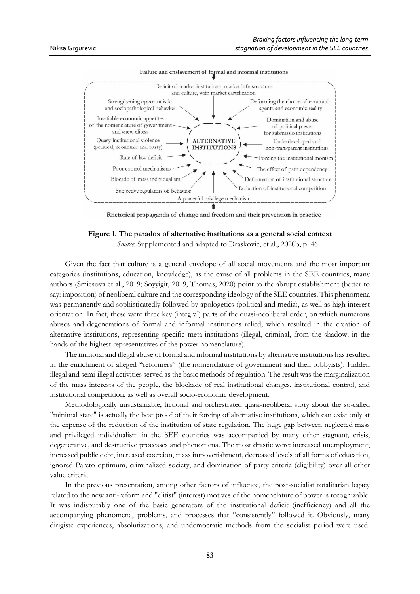

Failure and enslavement of formal and informal institutions

Rhetorical propaganda of change and freedom and their prevention in practice

**Figure 1. The paradox of alternative institutions as a general social context** *Source*: Supplemented and adapted to Draskovic, et al., 2020b, p. 46

Given the fact that culture is a general envelope of all social movements and the most important categories (institutions, education, knowledge), as the cause of all problems in the SEE countries, many authors (Smiesova et al., 2019; Soyyigit, 2019, Thomas, 2020) point to the abrupt establishment (better to say: imposition) of neoliberal culture and the corresponding ideology of the SEE countries. This phenomena was permanently and sophisticatedly followed by apologetics (political and media), as well as high interest orientation. In fact, these were three key (integral) parts of the quasi-neoliberal order, on which numerous abuses and degenerations of formal and informal institutions relied, which resulted in the creation of alternative institutions, representing specific meta-institutions (illegal, criminal, from the shadow, in the hands of the highest representatives of the power nomenclature).

The immoral and illegal abuse of formal and informal institutions by alternative institutions has resulted in the enrichment of alleged "reformers" (the nomenclature of government and their lobbyists). Hidden illegal and semi-illegal activities served as the basic methods of regulation. The result was the marginalization of the mass interests of the people, the blockade of real institutional changes, institutional control, and institutional competition, as well as overall socio-economic development.

Methodologically unsustainable, fictional and orchestrated quasi-neoliberal story about the so-called "minimal state" is actually the best proof of their forcing of alternative institutions, which can exist only at the expense of the reduction of the institution of state regulation. The huge gap between neglected mass and privileged individualism in the SEE countries was accompanied by many other stagnant, crisis, degenerative, and destructive processes and phenomena. The most drastic were: increased unemployment, increased public debt, increased coercion, mass impoverishment, decreased levels of all forms of education, ignored Pareto optimum, criminalized society, and domination of party criteria (eligibility) over all other value criteria.

In the previous presentation, among other factors of influence, the post-socialist totalitarian legacy related to the new anti-reform and "elitist" (interest) motives of the nomenclature of power is recognizable. It was indisputably one of the basic generators of the institutional deficit (inefficiency) and all the accompanying phenomena, problems, and processes that "consistently" followed it. Obviously, many dirigiste experiences, absolutizations, and undemocratic methods from the socialist period were used.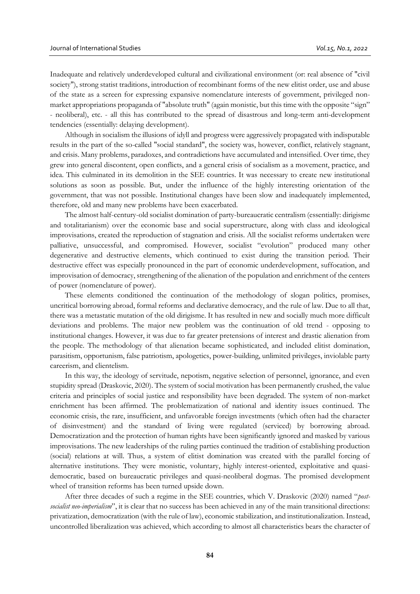Inadequate and relatively underdeveloped cultural and civilizational environment (or: real absence of "civil society"), strong statist traditions, introduction of recombinant forms of the new elitist order, use and abuse of the state as a screen for expressing expansive nomenclature interests of government, privileged nonmarket appropriations propaganda of "absolute truth" (again monistic, but this time with the opposite "sign" - neoliberal), etc. - all this has contributed to the spread of disastrous and long-term anti-development tendencies (essentially: delaying development).

Although in socialism the illusions of idyll and progress were aggressively propagated with indisputable results in the part of the so-called "social standard", the society was, however, conflict, relatively stagnant, and crisis. Many problems, paradoxes, and contradictions have accumulated and intensified. Over time, they grew into general discontent, open conflicts, and a general crisis of socialism as a movement, practice, and idea. This culminated in its demolition in the SEE countries. It was necessary to create new institutional solutions as soon as possible. But, under the influence of the highly interesting orientation of the government, that was not possible. Institutional changes have been slow and inadequately implemented, therefore, old and many new problems have been exacerbated.

The almost half-century-old socialist domination of party-bureaucratic centralism (essentially: dirigisme and totalitarianism) over the economic base and social superstructure, along with class and ideological improvisations, created the reproduction of stagnation and crisis. All the socialist reforms undertaken were palliative, unsuccessful, and compromised. However, socialist "evolution" produced many other degenerative and destructive elements, which continued to exist during the transition period. Their destructive effect was especially pronounced in the part of economic underdevelopment, suffocation, and improvisation of democracy, strengthening of the alienation of the population and enrichment of the centers of power (nomenclature of power).

These elements conditioned the continuation of the methodology of slogan politics, promises, uncritical borrowing abroad, formal reforms and declarative democracy, and the rule of law. Due to all that, there was a metastatic mutation of the old dirigisme. It has resulted in new and socially much more difficult deviations and problems. The major new problem was the continuation of old trend - opposing to institutional changes. However, it was due to far greater pretensions of interest and drastic alienation from the people. The methodology of that alienation became sophisticated, and included elitist domination, parasitism, opportunism, false patriotism, apologetics, power-building, unlimited privileges, inviolable party careerism, and clientelism.

In this way, the ideology of servitude, nepotism, negative selection of personnel, ignorance, and even stupidity spread (Draskovic, 2020). The system of social motivation has been permanently crushed, the value criteria and principles of social justice and responsibility have been degraded. The system of non-market enrichment has been affirmed. The problematization of national and identity issues continued. The economic crisis, the rare, insufficient, and unfavorable foreign investments (which often had the character of disinvestment) and the standard of living were regulated (serviced) by borrowing abroad. Democratization and the protection of human rights have been significantly ignored and masked by various improvisations. The new leaderships of the ruling parties continued the tradition of establishing production (social) relations at will. Thus, a system of elitist domination was created with the parallel forcing of alternative institutions. They were monistic, voluntary, highly interest-oriented, exploitative and quasidemocratic, based on bureaucratic privileges and quasi-neoliberal dogmas. The promised development wheel of transition reforms has been turned upside down.

After three decades of such a regime in the SEE countries, which V. Draskovic (2020) named "*postsocialist neo-imperialism*", it is clear that no success has been achieved in any of the main transitional directions: privatization, democratization (with the rule of law), economic stabilization, and institutionalization. Instead, uncontrolled liberalization was achieved, which according to almost all characteristics bears the character of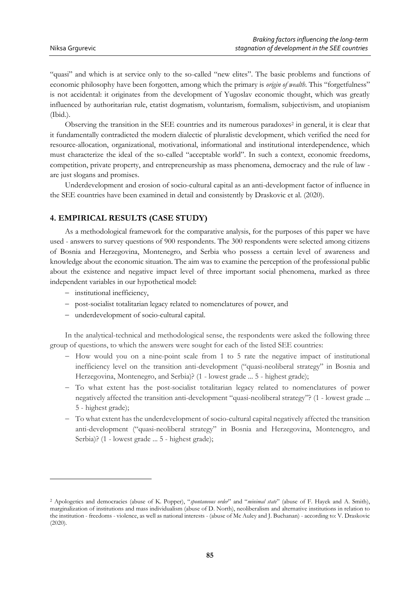"quasi" and which is at service only to the so-called "new elites". The basic problems and functions of economic philosophy have been forgotten, among which the primary is *origin of wealth*. This "forgetfulness" is not accidental: it originates from the development of Yugoslav economic thought, which was greatly influenced by authoritarian rule, etatist dogmatism, voluntarism, formalism, subjectivism, and utopianism (Ibid.).

Observing the transition in the SEE countries and its numerous paradoxes<sup>2</sup> in general, it is clear that it fundamentally contradicted the modern dialectic of pluralistic development, which verified the need for resource-allocation, organizational, motivational, informational and institutional interdependence, which must characterize the ideal of the so-called "acceptable world". In such a context, economic freedoms, competition, private property, and entrepreneurship as mass phenomena, democracy and the rule of law are just slogans and promises.

Underdevelopment and erosion of socio-cultural capital as an anti-development factor of influence in the SEE countries have been examined in detail and consistently by Draskovic et al. (2020).

### **4. EMPIRICAL RESULTS (CASE STUDY)**

As a methodological framework for the comparative analysis, for the purposes of this paper we have used - answers to survey questions of 900 respondents. The 300 respondents were selected among citizens of Bosnia and Herzegovina, Montenegro, and Serbia who possess a certain level of awareness and knowledge about the economic situation. The aim was to examine the perception of the professional public about the existence and negative impact level of three important social phenomena, marked as three independent variables in our hypothetical model:

- institutional inefficiency,

 $\overline{a}$ 

- post-socialist totalitarian legacy related to nomenclatures of power, and
- underdevelopment of socio-cultural capital.

In the analytical-technical and methodological sense, the respondents were asked the following three group of questions, to which the answers were sought for each of the listed SEE countries:

- $-$  How would you on a nine-point scale from 1 to 5 rate the negative impact of institutional inefficiency level on the transition anti-development ("quasi-neoliberal strategy" in Bosnia and Herzegovina, Montenegro, and Serbia)? (1 - lowest grade ... 5 - highest grade);
- To what extent has the post-socialist totalitarian legacy related to nomenclatures of power negatively affected the transition anti-development "quasi-neoliberal strategy"? (1 - lowest grade ... 5 - highest grade);
- To what extent has the underdevelopment of socio-cultural capital negatively affected the transition anti-development ("quasi-neoliberal strategy" in Bosnia and Herzegovina, Montenegro, and Serbia)? (1 - lowest grade ... 5 - highest grade);

<sup>2</sup> Apologetics and democracies (abuse of K. Popper), "*spontaneous order*" and "*minimal state*" (abuse of F. Hayek and A. Smith), marginalization of institutions and mass individualism (abuse of D. North), neoliberalism and alternative institutions in relation to the institution - freedoms - violence, as well as national interests - (abuse of Mc Auley and J. Buchanan) - according to: V. Draskovic (2020).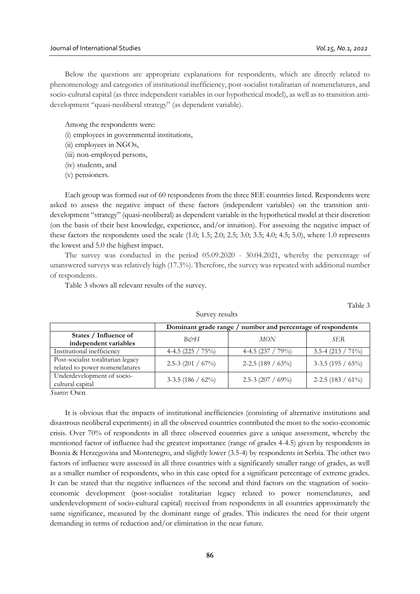Below the questions are appropriate explanations for respondents, which are directly related to phenomenology and categories of institutional inefficiency, post-socialist totalitarian of nomenclatures, and socio-cultural capital (as three independent variables in our hypothetical model), as well as to transition antidevelopment "quasi-neoliberal strategy" (as dependent variable).

Among the respondents were:

(i) employees in governmental institutions,

(ii) employees in NGOs,

- (iii) non-employed persons,
- (iv) students, and
- (v) pensioners.

Each group was formed out of 60 respondents from the three SEE countries listed. Respondents were asked to assess the negative impact of these factors (independent variables) on the transition antidevelopment "strategy" (quasi-neoliberal) as dependent variable in the hypothetical model at their discretion (on the basis of their best knowledge, experience, and/or intuition). For assessing the negative impact of these factors the respondents used the scale (1.0; 1.5; 2.0; 2.5; 3.0; 3.5; 4.0; 4.5; 5.0), where 1.0 represents the lowest and 5.0 the highest impact.

The survey was conducted in the period 05.09.2020 - 30.04.2021, whereby the percentage of unanswered surveys was relatively high (17.3%). Therefore, the survey was repeated with additional number of respondents.

Table 3 shows all relevant results of the survey.

Table 3

|                                                                      | Dominant grade range / number and percentage of respondents |                       |                       |  |  |  |
|----------------------------------------------------------------------|-------------------------------------------------------------|-----------------------|-----------------------|--|--|--|
| States / Influence of<br>independent variables                       | $B\phi\gamma H$                                             | <b>MON</b>            | SER                   |  |  |  |
| Institutional inefficiency                                           | 4-4.5 $(225 / 75\%)$                                        | 4-4.5 $(237 / 79\%)$  | $3.5-4$ (213 / 71%)   |  |  |  |
| Post-socialist totalitarian legacy<br>related to power nomenclatures | 2.5-3 (201 / $67\%$ )                                       | 2-2.5 (189 / $63\%$ ) | $3-3.5$ (195 / 65%)   |  |  |  |
| Underdevelopment of socio-<br>cultural capital                       | 3-3.5 (186 / $62\%$ )                                       | 2.5-3 $(207 / 69\%)$  | 2-2.5 (183 / $61\%$ ) |  |  |  |

Survey results

*Source*: Own

It is obvious that the impacts of institutional inefficiencies (consisting of alternative institutions and disastrous neoliberal experiments) in all the observed countries contributed the most to the socio-economic crisis. Over 70% of respondents in all three observed countries gave a unique assessment, whereby the mentioned factor of influence had the greatest importance (range of grades 4-4.5) given by respondents in Bosnia & Herzegovina and Montenegro, and slightly lower (3.5-4) by respondents in Serbia. The other two factors of influence were assessed in all three countries with a significantly smaller range of grades, as well as a smaller number of respondents, who in this case opted for a significant percentage of extreme grades. It can be stated that the negative influences of the second and third factors on the stagnation of socioeconomic development (post-socialist totalitarian legacy related to power nomenclatures, and underdevelopment of socio-cultural capital) received from respondents in all countries approximately the same significance, measured by the dominant range of grades. This indicates the need for their urgent demanding in terms of reduction and/or elimination in the near future.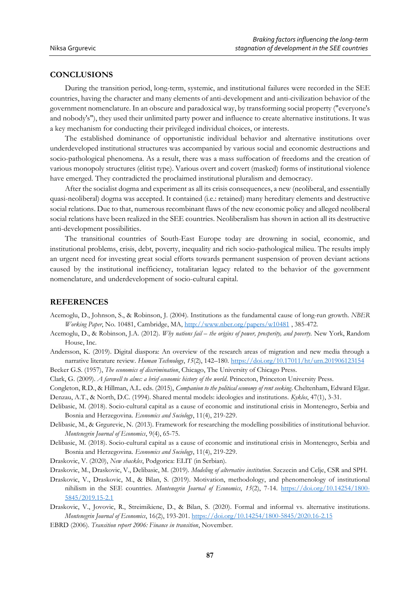### **CONCLUSIONS**

During the transition period, long-term, systemic, and institutional failures were recorded in the SEE countries, having the character and many elements of anti-development and anti-civilization behavior of the government nomenclature. In an obscure and paradoxical way, by transforming social property ("everyone's and nobody's"), they used their unlimited party power and influence to create alternative institutions. It was a key mechanism for conducting their privileged individual choices, or interests.

The established dominance of opportunistic individual behavior and alternative institutions over underdeveloped institutional structures was accompanied by various social and economic destructions and socio-pathological phenomena. As a result, there was a mass suffocation of freedoms and the creation of various monopoly structures (elitist type). Various overt and covert (masked) forms of institutional violence have emerged. They contradicted the proclaimed institutional pluralism and democracy.

After the socialist dogma and experiment as all its crisis consequences, a new (neoliberal, and essentially quasi-neoliberal) dogma was accepted. It contained (i.e.: retained) many hereditary elements and destructive social relations. Due to that, numerous recombinant flaws of the new economic policy and alleged neoliberal social relations have been realized in the SEE countries. Neoliberalism has shown in action all its destructive anti-development possibilities.

The transitional countries of South-East Europe today are drowning in social, economic, and institutional problems, crisis, debt, poverty, inequality and rich socio-pathological milieu. The results imply an urgent need for investing great social efforts towards permanent suspension of proven deviant actions caused by the institutional inefficiency, totalitarian legacy related to the behavior of the government nomenclature, and underdevelopment of socio-cultural capital.

#### **REFERENCES**

- Acemoglu, D., Johnson, S., & Robinson, J. (2004). Institutions as the fundamental cause of long-run growth. *NBER Working Paper*, No. 10481, Cambridge, MA[, http://www.nber.org/papers/w10481](http://www.nber.org/papers/w10481) , 385-472.
- Acemoglu, D., & Robinson, J.A. (2012). *Why nations fail the origins of power, prosperity, and poverty.* New York, Random House, Inc.
- Andersson, K. (2019). Digital diaspora: An overview of the research areas of migration and new media through a narrative literature review. *Human Technology*, *15*(2), 142–180.<https://doi.org/10.17011/ht/urn.201906123154>
- Becker G.S. (1957), *The economics of discrimination*, Chicago, The University of Chicago Press.
- Clark, G. (2009). *A farewell to alms: a brief economic history of the world*. Princeton, Princeton University Press.
- Congleton, R.D., & Hillman, A.L. eds. (2015), *Companion to the political economy of rent seeking*. Cheltenham, Edward Elgar. Denzau, A.T., & North, D.C. (1994). Shared mental models: ideologies and institutions. *Kyklos*, 47(1), 3-31.
- Delibasic, M. (2018). Socio-cultural capital as a cause of economic and institutional crisis in Montenegro, Serbia and Bosnia and Herzegovina. *Economics and Sociology*, 11(4), 219-229.
- Delibasic, M., & Grgurevic, N. (2013). Framework for researching the modelling possibilities of institutional behavior. *Montenegrin Journal of Economics*, 9(4), 65-75.
- Delibasic, M. (2018). Socio-cultural capital as a cause of economic and institutional crisis in Montenegro, Serbia and Bosnia and Herzegovina. *Economics and Sociology*, 11(4), 219-229.
- Draskovic, V. (2020), *New shackles*, Podgorica: ELIT (in Serbian).
- Draskovic, M., Draskovic, V., Delibasic, M. (2019). *Modeling of alternative institution*. Szczecin and Celje, CSR and SPH.
- Draskovic, V., Draskovic, M., & Bilan, S. (2019). Motivation, methodology, and phenomenology of institutional nihilism in the SEE countries. *Montenegrin Journal of Economics*, *15*(2), 7-14. [https://doi.org/10.14254/1800-](https://doi.org/10.14254/1800-5845/2019.15-2.1) [5845/2019.15-2.1](https://doi.org/10.14254/1800-5845/2019.15-2.1)
- Draskovic, V., Jovovic, R., Streimikiene, D., & Bilan, S. (2020). Formal and informal vs. alternative institutions. *Montenegrin Journal of Economics*, 16(2), 193-201[. https://doi.org/10.14254/1800-5845/2020.16-2.15](https://doi.org/10.14254/1800-5845/2020.16-2.15)
- EBRD (2006). *Transition report 2006: Finance in transition*, November.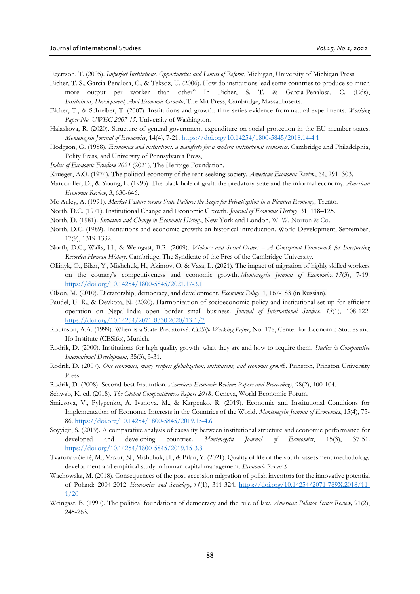Egertson, T. (2005). *Imperfect Institutions. Opportunities and Limits of Reform*, Michigan, University of Michigan Press.

- Eicher, T. S., Garcia-Penalosa, C., & Teksoz, U. (2006). How do institutions lead some countries to produce so much more output per worker than other" In Eicher, S. T. & Garcia-Penalosa, C. (Eds), *Institutions, Development, And Economic Growth*, The Mit Press, Cambridge, Massachusetts.
- Eicher, T., & Schreiber, T. (2007). Institutions and growth: time series evidence from natural experiments. *Working Paper No. UWEC-2007-15.* University of Washington.
- Halaskova, R. (2020). Structure of general government expenditure on social protection in the EU member states. *Montenegrin Journal of Economics*, 14(4), 7-21[. https://doi.org/10.14254/1800-5845/2018.14-4.1](https://doi.org/10.14254/1800-5845/2018.14-4.1)
- Hodgson, G. (1988). *Economics and institutions: a manifesto for a modern institutional economics*. Cambridge and Philadelphia, Polity Press, and University of Pennsylvania Press,.
- *Index of Economic Freedom 2021* (2021), The Heritage Foundation.
- Krueger, A.O. (1974). The political economy of the rent-seeking society. *American Economic Review*, 64, 291–303.
- Marcouiller, D., & Young, L. (1995). The black hole of graft: the predatory state and the informal economy. *American Economic Review*, 3, 630-646.
- Mc Auley, A. (1991). *Market Failure versus State Failure: the Scope for Privatization in a Planned Economy*, Trento.
- North, D.C. (1971). Institutional Change and Economic Growth. *Journal of Economic History*, 31, 118–125.
- North, D. (1981). *Structure and Change in Economic History*, New York and London, W. W. Norton & Co.
- North, D.C. (1989). Institutions and economic growth: an historical introduction. World Development, September, 17(9), 1319-1332.
- North, D.C., Walis, J.J., & Weingast, B.R. (2009). *Violence and Social Orders – A Conceptual Framework for Interpreting Recorded Human History*. Cambridge, The Syndicate of the Pres of the Cambridge University.
- Oliinyk, O., Bilan, Y., Mishchuk, H., Akimov, O. & Vasa, L. (2021). The impact of migration of highly skilled workers on the country's competitiveness and economic growth. *Montenegrin Journal of Economics*, *17*(3), 7-19. <https://doi.org/10.14254/1800-5845/2021.17-3.1>
- Olson, M. (2010). Dictatorship, democracy, and development. *Economic Policy*, 1, 167-183 (in Russian).
- Paudel, U. R., & Devkota, N. (2020). Harmonization of socioeconomic policy and institutional set-up for efficient operation on Nepal-India open border small business. *Journal of International Studies, 13*(1), 108-122. <https://doi.org/10.14254/2071-8330.2020/13-1/7>
- Robinson, A.A. (1999). When is a State Predatory?. *CESifo Working Paper*, No. 178, Center for Economic Studies and Ifo Institute (CESifo), Munich.
- Rodrik, D. (2000). Institutions for high quality growth: what they are and how to acquire them. *Studies in Comparative International Development*, 35(3), 3-31.
- Rodrik, D. (2007). *One economics, many recipes: globalization, institutions, and economic growth*. Prinston, Prinston University Press.
- Rodrik, D. (2008). Second-best Institution. *American Economic Review*: *Papers and Proceedings*, 98(2), 100-104.
- Schwab, K. ed. (2018). *The Global Competitiveness Report 2018*. Geneva, World Economic Forum.
- Smiesova, V., Pylypenko, A. Ivanova, M., & Karpenko, R. (2019). Economic and Institutional Conditions for Implementation of Economic Interests in the Countries of the World. *Montenegrin Journal of Economics*, 15(4), 75- 86.<https://doi.org/10.14254/1800-5845/2019.15-4.6>
- Soyyigit, S. (2019). A comparative analysis of causality between institutional structure and economic performance for developed and developing countries. *Montenegrin Journal of Economics*, 15(3), 37-51. <https://doi.org/10.14254/1800-5845/2019.15-3.3>
- Tvaronavičienė, M., Mazur, N., Mishchuk, H., & Bilan, Y. (2021). Quality of life of the youth: assessment methodology development and empirical study in human capital management. *Economic Research-*
- Wachowska, M. (2018). Consequences of the post-accession migration of polish inventors for the innovative potential of Poland: 2004-2012. *Economics and Sociology*, *11*(1), 311-324. [https://doi.org/10.14254/2071-789X.2018/11-](https://doi.org/10.14254/2071-789X.2018/11-1/20) [1/20](https://doi.org/10.14254/2071-789X.2018/11-1/20)
- Weingast, B. (1997). The political foundations of democracy and the rule of law. *American Politica Scince Review,* 91(2), 245-263.